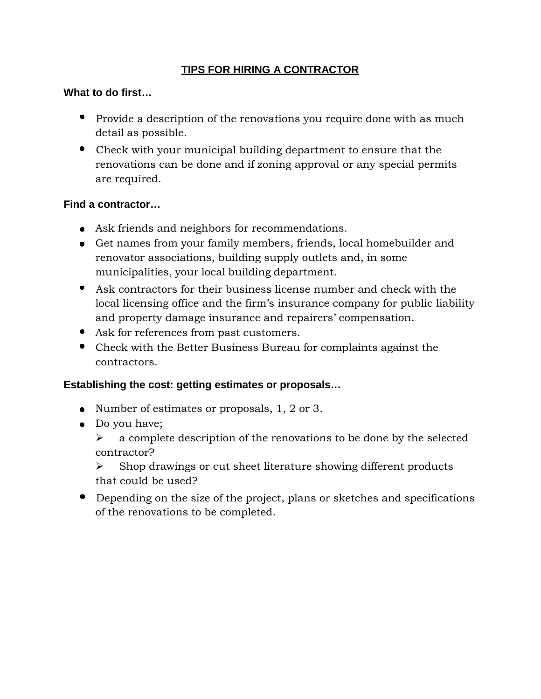# **TIPS FOR HIRING A CONTRACTOR**

## **What to do first…**

- Provide a description of the renovations you require done with as much detail as possible.
- Check with your municipal building department to ensure that the renovations can be done and if zoning approval or any special permits are required.

#### **Find a contractor…**

- Ask friends and neighbors for recommendations.
- Get names from your family members, friends, local homebuilder and renovator associations, building supply outlets and, in some municipalities, your local building department.
- Ask contractors for their business license number and check with the local licensing office and the firm's insurance company for public liability and property damage insurance and repairers' compensation.
- Ask for references from past customers.
- Check with the Better Business Bureau for complaints against the contractors.

#### **Establishing the cost: getting estimates or proposals…**

- Number of estimates or proposals, 1, 2 or 3.
- Do you have;
	- $\triangleright$  a complete description of the renovations to be done by the selected contractor?
	- ¾ Shop drawings or cut sheet literature showing different products that could be used?
- Depending on the size of the project, plans or sketches and specifications of the renovations to be completed.